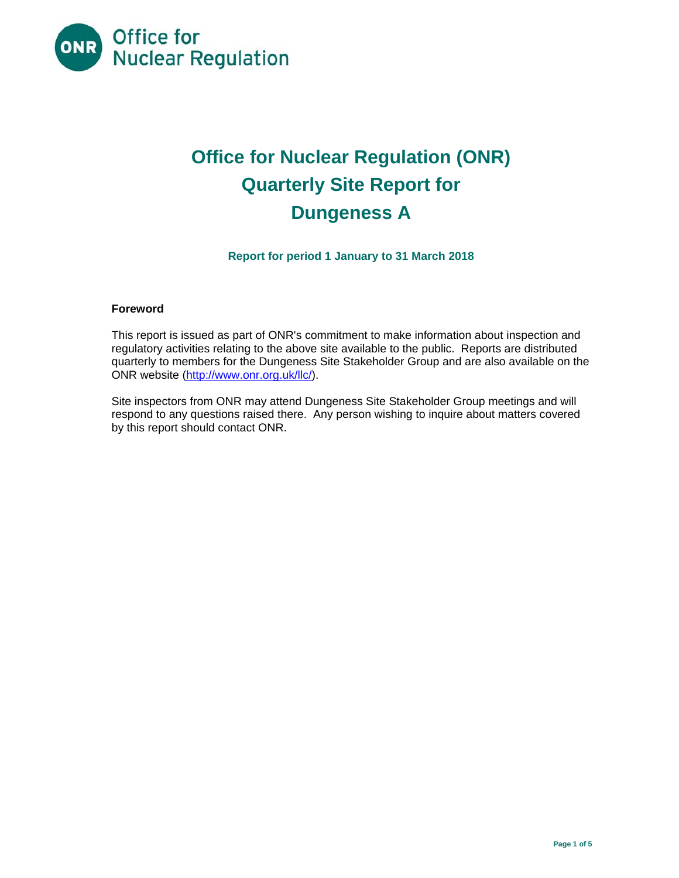

# **Office for Nuclear Regulation (ONR) Quarterly Site Report for Dungeness A**

**Report for period 1 January to 31 March 2018** 

## **Foreword**

This report is issued as part of ONR's commitment to make information about inspection and regulatory activities relating to the above site available to the public. Reports are distributed quarterly to members for the Dungeness Site Stakeholder Group and are also available on the ONR website (http://www.onr.org.uk/llc/).

Site inspectors from ONR may attend Dungeness Site Stakeholder Group meetings and will respond to any questions raised there. Any person wishing to inquire about matters covered by this report should contact ONR.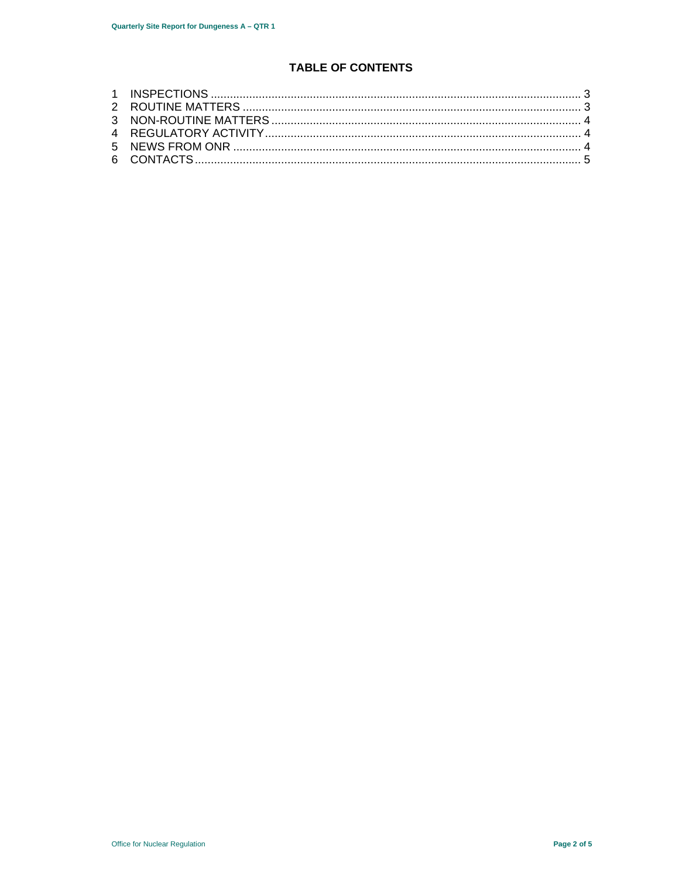# **TABLE OF CONTENTS**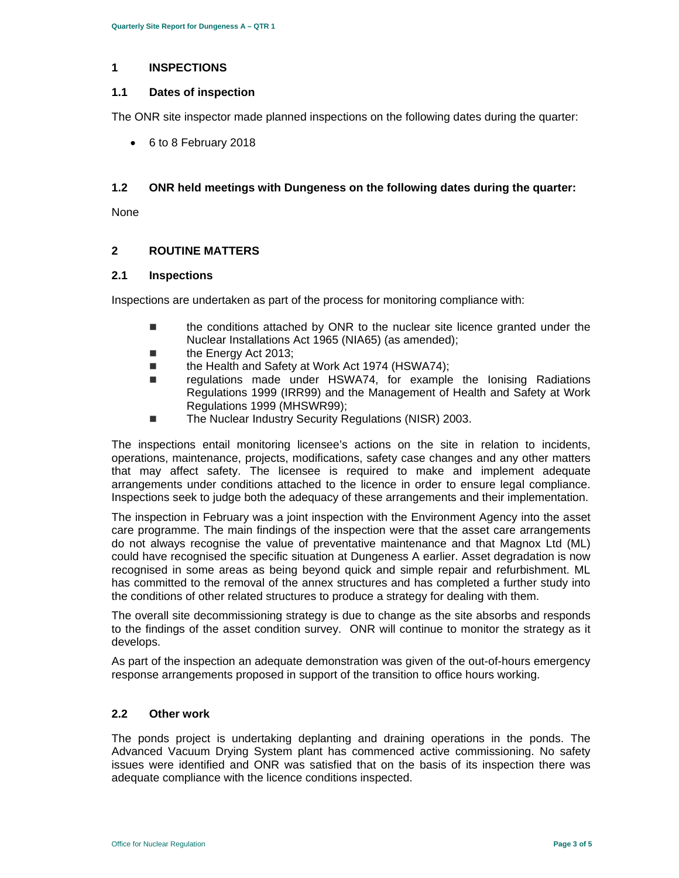#### **1 INSPECTIONS**

#### **1.1 Dates of inspection**

The ONR site inspector made planned inspections on the following dates during the quarter:

6 to 8 February 2018

#### **1.2 ONR held meetings with Dungeness on the following dates during the quarter:**

None

## **2 ROUTINE MATTERS**

#### **2.1 Inspections**

Inspections are undertaken as part of the process for monitoring compliance with:

- the conditions attached by ONR to the nuclear site licence granted under the Nuclear Installations Act 1965 (NIA65) (as amended);
- the Energy Act 2013;
- the Health and Safety at Work Act 1974 (HSWA74);
- regulations made under HSWA74, for example the Ionising Radiations Regulations 1999 (IRR99) and the Management of Health and Safety at Work Regulations 1999 (MHSWR99);
- The Nuclear Industry Security Regulations (NISR) 2003.

The inspections entail monitoring licensee's actions on the site in relation to incidents, operations, maintenance, projects, modifications, safety case changes and any other matters that may affect safety. The licensee is required to make and implement adequate arrangements under conditions attached to the licence in order to ensure legal compliance. Inspections seek to judge both the adequacy of these arrangements and their implementation.

The inspection in February was a joint inspection with the Environment Agency into the asset care programme. The main findings of the inspection were that the asset care arrangements do not always recognise the value of preventative maintenance and that Magnox Ltd (ML) could have recognised the specific situation at Dungeness A earlier. Asset degradation is now recognised in some areas as being beyond quick and simple repair and refurbishment. ML has committed to the removal of the annex structures and has completed a further study into the conditions of other related structures to produce a strategy for dealing with them.

The overall site decommissioning strategy is due to change as the site absorbs and responds to the findings of the asset condition survey. ONR will continue to monitor the strategy as it develops.

As part of the inspection an adequate demonstration was given of the out-of-hours emergency response arrangements proposed in support of the transition to office hours working.

## **2.2 Other work**

The ponds project is undertaking deplanting and draining operations in the ponds. The Advanced Vacuum Drying System plant has commenced active commissioning. No safety issues were identified and ONR was satisfied that on the basis of its inspection there was adequate compliance with the licence conditions inspected.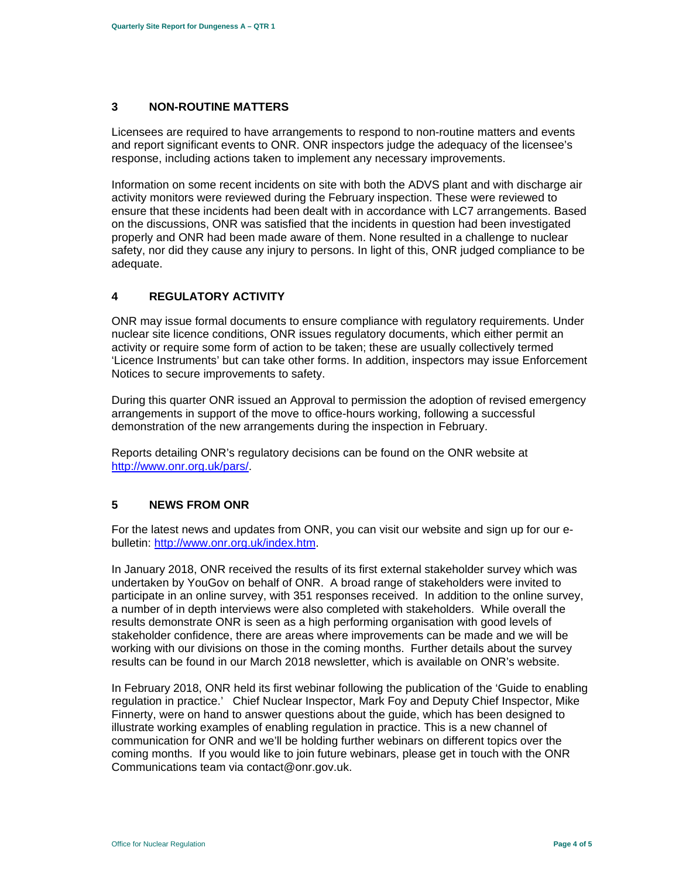#### **3 NON-ROUTINE MATTERS**

Licensees are required to have arrangements to respond to non-routine matters and events and report significant events to ONR. ONR inspectors judge the adequacy of the licensee's response, including actions taken to implement any necessary improvements.

Information on some recent incidents on site with both the ADVS plant and with discharge air activity monitors were reviewed during the February inspection. These were reviewed to ensure that these incidents had been dealt with in accordance with LC7 arrangements. Based on the discussions, ONR was satisfied that the incidents in question had been investigated properly and ONR had been made aware of them. None resulted in a challenge to nuclear safety, nor did they cause any injury to persons. In light of this, ONR judged compliance to be adequate.

## **4 REGULATORY ACTIVITY**

ONR may issue formal documents to ensure compliance with regulatory requirements. Under nuclear site licence conditions, ONR issues regulatory documents, which either permit an activity or require some form of action to be taken; these are usually collectively termed 'Licence Instruments' but can take other forms. In addition, inspectors may issue Enforcement Notices to secure improvements to safety.

During this quarter ONR issued an Approval to permission the adoption of revised emergency arrangements in support of the move to office-hours working, following a successful demonstration of the new arrangements during the inspection in February.

Reports detailing ONR's regulatory decisions can be found on the ONR website at http://www.onr.org.uk/pars/.

#### **5 NEWS FROM ONR**

For the latest news and updates from ONR, you can visit our website and sign up for our ebulletin: http://www.onr.org.uk/index.htm.

In January 2018, ONR received the results of its first external stakeholder survey which was undertaken by YouGov on behalf of ONR. A broad range of stakeholders were invited to participate in an online survey, with 351 responses received. In addition to the online survey, a number of in depth interviews were also completed with stakeholders. While overall the results demonstrate ONR is seen as a high performing organisation with good levels of stakeholder confidence, there are areas where improvements can be made and we will be working with our divisions on those in the coming months. Further details about the survey results can be found in our March 2018 newsletter, which is available on ONR's website.

In February 2018, ONR held its first webinar following the publication of the 'Guide to enabling regulation in practice.' Chief Nuclear Inspector, Mark Foy and Deputy Chief Inspector, Mike Finnerty, were on hand to answer questions about the guide, which has been designed to illustrate working examples of enabling regulation in practice. This is a new channel of communication for ONR and we'll be holding further webinars on different topics over the coming months. If you would like to join future webinars, please get in touch with the ONR Communications team via contact@onr.gov.uk.